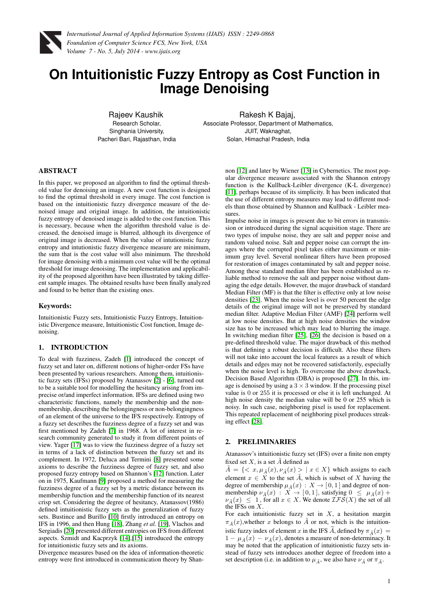

# **On Intuitionistic Fuzzy Entropy as Cost Function in Image Denoising**

Rajeev Kaushik Research Scholar, Singhania University, Pacheri Bari, Rajasthan, India

Rakesh K Bajaj, Associate Professor, Department of Mathematics, JUIT, Waknaghat, Solan, Himachal Pradesh, India

# ABSTRACT

In this paper, we proposed an algorithm to find the optimal threshold value for denoising an image. A new cost function is designed to find the optimal threshold in every image. The cost function is based on the intuitionistic fuzzy divergence measure of the denoised image and original image. In addition, the intuitionistic fuzzy entropy of denoised image is added to the cost function. This is necessary, because when the algorithm threshold value is decreased, the denoised image is blurred, although its divergence of original image is decreased. When the value of intutionistic fuzzy entropy and intutionistic fuzzy divergence measure are minimum, the sum that is the cost value will also minimum. The threshold for image denoising with a minimum cost value will be the optimal threshold for image denoising. The implementation and applicability of the proposed algorithm have been illustrated by taking different sample images. The obtained results have been finally analyzed and found to be better than the existing ones.

# Keywords:

Intuitionistic Fuzzy sets, Intuitionistic Fuzzy Entropy, Intuitionistic Divergence measure, Intuitionistic Cost function, Image denoising.

# 1. INTRODUCTION

To deal with fuzziness, Zadeh [\[1\]](#page-4-0) introduced the concept of fuzzy set and later on, different notions of higher-order FSs have been presented by various researchers. Among them, intuitionistic fuzzy sets (IFSs) proposed by Atanassov [\[2\]](#page-4-1) - [\[6\]](#page-4-2), turned out to be a suitable tool for modelling the hesitancy arising from imprecise or/and imperfect information. IFSs are defined using two characteristic functions, namely the membership and the nonmembership, describing the belongingness or non-belongingness of an element of the universe to the IFS respectively. Entropy of a fuzzy set describes the fuzziness degree of a fuzzy set and was first mentioned by Zadeh [\[7\]](#page-4-3) in 1968. A lot of interest in research community generated to study it from different points of view. Yager [\[17\]](#page-4-4) was to view the fuzziness degree of a fuzzy set in terms of a lack of distinction between the fuzzy set and its complement. In 1972, Deluca and Termini [\[8\]](#page-4-5) presented some axioms to describe the fuzziness degree of fuzzy set, and also proposed fuzzy entropy based on Shannon's [\[12\]](#page-4-6) function. Later on in 1975, Kaufmann [\[9\]](#page-4-7) proposed a method for measuring the fuzziness degree of a fuzzy set by a metric distance between its membership function and the membership function of its nearest crisp set. Considering the degree of hesitancy, Atanassov(1986) defined intuitionistic fuzzy sets as the generalization of fuzzy sets. Bustince and Burillo [\[10\]](#page-4-8) firstly introduced an entropy on IFS in 1996, and then Hung [\[18\]](#page-4-9), Zhang *et al.* [\[19\]](#page-4-10), Vlachos and Sergiadis [\[20\]](#page-4-11) presented different entropies on IFS from different aspects. Szmidt and Kacprzyk [\[14\]](#page-4-12),[\[15\]](#page-4-13) introduced the entropy for intuitionistic fuzzy sets and its axioms.

Divergence measures based on the idea of information-theoretic entropy were first introduced in communication theory by Shannon [\[12\]](#page-4-6) and later by Wiener [\[13\]](#page-4-14) in Cybernetics. The most popular divergence measure associated with the Shannon entropy function is the Kullback-Leibler divergence (K-L divergence) [\[11\]](#page-4-15), perhaps because of its simplicity. It has been indicated that the use of different entropy measures may lead to different models than those obtained by Shannon and Kullback - Leibler measures.

Impulse noise in images is present due to bit errors in transmission or introduced during the signal acquisition stage. There are two types of impulse noise, they are salt and pepper noise and random valued noise. Salt and pepper noise can corrupt the images where the corrupted pixel takes either maximum or minimum gray level. Several nonlinear filters have been proposed for restoration of images contaminated by salt and pepper noise. Among these standard median filter has been established as reliable method to remove the salt and pepper noise without damaging the edge details. However, the major drawback of standard Median Filter (MF) is that the filter is effective only at low noise densities [\[23\]](#page-4-16). When the noise level is over 50 percent the edge details of the original image will not be preserved by standard median filter. Adaptive Median Filter (AMF) [\[24\]](#page-4-17) perform well at low noise densities. But at high noise densities the window size has to be increased which may lead to blurring the image. In switching median filter [\[25\]](#page-4-18), [\[26\]](#page-4-19) the decision is based on a pre-defined threshold value. The major drawback of this method is that defining a robust decision is difficult. Also these filters will not take into account the local features as a result of which details and edges may not be recovered satisfactorily, especially when the noise level is high. To overcome the above drawback, Decision Based Algorithm (DBA) is proposed [\[27\]](#page-4-20). In this, image is denoised by using a  $3 \times 3$  window. If the processing pixel value is 0 or 255 it is processed or else it is left unchanged. At high noise density the median value will be 0 or 255 which is noisy. In such case, neighboring pixel is used for replacement. This repeated replacement of neighboring pixel produces streaking effect [\[28\]](#page-4-21).

# 2. PRELIMINARIES

Atanassov's intuitionistic fuzzy set (IFS) over a finite non empty fixed set X, is a set  $\tilde{A}$  defined as

 $A = \{ \langle x, \mu_{\tilde{A}}(x), \nu_{\tilde{A}}(x) \rangle | x \in X \}$  which assigns to each element  $x \in X$  to the set  $\tilde{A}$ , which is subset of X having the degree of membership  $\mu_{\tilde{A}}(x) : X \to [0,1]$  and degree of nonmembership  $\nu_{\tilde{A}}(x) : X \to [0,1]$ , satisfying  $0 \le \mu_{\tilde{A}}(x) +$  $\nu_{\tilde{A}}(x) \leq 1$ , for all  $x \in X$ . We denote  $\mathcal{IFS}(X)$  the set of all the IFSs on X.

For each intuitionistic fuzzy set in  $X$ , a hesitation margin  $\pi_{\tilde{A}}(x)$ , whether x belongs to  $\tilde{A}$  or not, which is the intuitionistic fuzzy index of element x in the IFS A, defined by  $\pi_{\tilde{A}}(x) =$  $1 - \mu_{\tilde{A}}(x) - \nu_{\tilde{A}}(x)$ , denotes a measure of non-determinacy. It may be noted that the application of intuitionistic fuzzy sets instead of fuzzy sets introduces another degree of freedom into a set description (i.e. in addition to  $\mu_{\tilde{A}}$ , we also have  $\nu_{\tilde{A}}$  or  $\pi_{\tilde{A}}$ .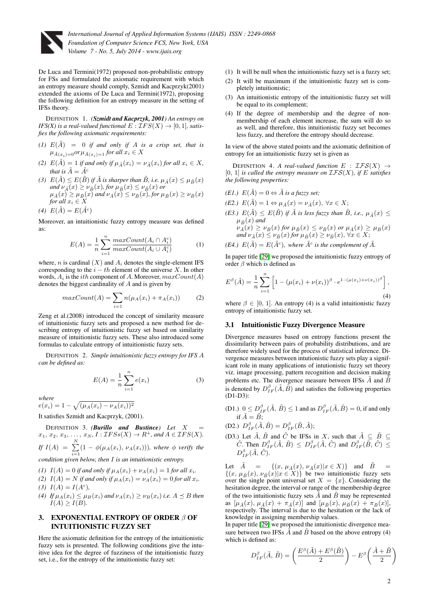

De Luca and Termini(1972) proposed non-probabilistic entropy for FSs and formulated the axiomatic requirement with which an entropy measure should comply, Szmidt and Kacprzyk(2001) extended the axioms of De Luca and Termini(1972), proposing the following definition for an entropy measure in the setting of IFSs theory.

DEFINITION 1. *(Szmidt and Kacprzyk, 2001) An entropy on IFS(X) is a real-valued functional*  $E: \mathcal{I}FS(X) \rightarrow [0,1]$ *, satisfies the following axiomatic requirements:*

- *(1)*  $E(\tilde{A}) = 0$  *if and only if*  $A$  *is a crisp set, that is*  $\mu_{\tilde{A}(x_i)=0}$ or $\mu_{\tilde{A}(x_i)=1}$  for all  $x_i \in X$
- *(2)*  $E(\tilde{A}) = 1$  *if and only if*  $\mu_{\tilde{A}}(x_i) = \nu_{\tilde{A}}(x_i)$  *for all*  $x_i \in X$ *, that is*  $\tilde{A} = \tilde{A}^c$
- (3)  $E(\tilde{A}) \leq E(\tilde{B})$  *if*  $\tilde{A}$  *is sharper than*  $\tilde{B}$ *, i.e.*  $\mu_{\tilde{A}}(x) \leq \mu_{\tilde{B}}(x)$  $and \ \nu_{\tilde{A}}(x) \geq \nu_{\tilde{B}}(x), for \ \mu_{\tilde{B}}(x) \leq \nu_{\tilde{B}}(x) \ or$  $\mu_{\tilde{A}}(x) \ge \mu_{\tilde{B}}(x)$  and  $\nu_{\tilde{A}}(x) \le \nu_{\tilde{B}}(x)$ , for  $\mu_{\tilde{B}}(x) \ge \nu_{\tilde{B}}(x)$ *for all*  $x_i \in X$
- (4)  $E(\tilde{A}) = E(\tilde{A}^c)$

Moreover, an intuitionistic fuzzy entropy measure was defined as:

$$
E(A) = \frac{1}{n} \sum_{i=1}^{n} \frac{maxCount(A_i \cap A_i^c)}{maxCount(A_i \cup A_i^c)}
$$
(1)

where, *n* is cardinal  $(X)$  and  $A_i$  denotes the single-element IFS corresponding to the  $i - th$  element of the universe X. In other words,  $A_i$  is the  $ith$  component of  $A$ . Moreover,  $maxCount(A)$ denotes the biggest cardinality of A and is given by

$$
maxCount(A) = \sum_{i=1} n(\mu_A(x_i) + \pi_A(x_i))
$$
 (2)

Zeng et al.(2008) introduced the concept of similarity measure of intuitionistic fuzzy sets and proposed a new method for describing entropy of intuitionistic fuzzy set based on similarity measure of intuitionistic fuzzy sets. These also introduced some formulas to calculate entropy of intuitionistic fuzzy sets.

DEFINITION 2. *Simple intuitionistic fuzzy entropy for IFS* A *can be defined as:*

$$
E(A) = \frac{1}{n} \sum_{i=1}^{n} e(x_i)
$$
 (3)

*where*

 $e(x_i) = 1 - \sqrt{(\mu_A(x_i) - \nu_A(x_i))^2}$ 

It satisfies Szmidt and Kacprzyk, (2001).

DEFINITION 3. *(Burillo and Bustince)* Let X  $x_1, x_2, x_3, \ldots, x_N, I : \mathcal{I} F S s(X) \to R^+$ , and  $A \in \mathcal{I} F S(X)$ . *If*  $I(A) = \sum_{i=1}^{N} (1 - \phi(\mu_A(x_i), \nu_A(x_i)))$ *, where*  $\phi$  *verify the* 

*condition given below, then* I *is an intuitionistic entropy.*

- *(1)*  $I(A) = 0$  *if and only if*  $\mu_A(x_i) + \nu_A(x_i) = 1$  *for all*  $x_i$ *.*
- *(2)*  $I(A) = N$  *if and only if*  $\mu_A(x_i) = \nu_A(x_i) = 0$  *for all*  $x_i$ *.* (3)  $I(A) = I(A^c)$ ,
- (4) If  $\mu_A(x_i) \leq \mu_B(x_i)$  and  $\nu_A(x_i) \geq \nu_B(x_i)$  *i.e.*  $A \preceq B$  then  $I(A) \geq I(B)$ .

# **EXPONENTIAL ENTROPY OF ORDER**  $\beta$  **OF** INTUITIONISTIC FUZZY SET

Here the axiomatic definition for the entropy of the intuitionistic fuzzy sets is presented. The following conditions give the intuitive idea for the degree of fuzziness of the intuitionistic fuzzy set, i.e., for the entropy of the intuitionistic fuzzy set:

- (1) It will be null when the intuitionistic fuzzy set is a fuzzy set;
- (2) It will be maximum if the intuitionistic fuzzy set is completely intuitionistic;
- (3) An intuitionistic entropy of the intuitionistic fuzzy set will be equal to its complement;
- (4) If the degree of membership and the degree of nonmembership of each element increase, the sum will do so as well, and therefore, this intuitionistic fuzzy set becomes less fuzzy, and therefore the entropy should decrease.

In view of the above stated points and the axiomatic definition of entropy for an intuitionistic fuzzy set is given as

DEFINITION 4. *A real-valued function*  $E : \mathcal{IFS}(X) \rightarrow$  $[0, 1]$  *is called the entropy measure on*  $\mathcal{IFS}(X)$ *, if* E *satisfies the following properties:*

- *(E1.)*  $E(\tilde{A}) = 0 \Leftrightarrow \tilde{A}$  *is a fuzzy set;*
- *(E2.)*  $E(\tilde{A}) = 1 \Leftrightarrow \mu_{\tilde{A}}(x) = \nu_{\tilde{A}}(x), \forall x \in X;$
- *(E3.)*  $E(\tilde{A}) \leq E(\tilde{B})$  *if*  $\tilde{A}$  *is less fuzzy than*  $\tilde{B}$ *, i.e.,*  $\mu_{\tilde{A}}(x) \leq$  $\mu_{\tilde{B}}(x)$  and  $\nu_{\tilde{A}}(x) \geq \nu_{\tilde{B}}(x)$  for  $\mu_{\tilde{B}}(x) \leq \nu_{\tilde{B}}(x)$  or  $\mu_{\tilde{A}}(x) \geq \mu_{\tilde{B}}(x)$ *and*  $\nu_{\tilde{A}}(x) \le \nu_{\tilde{B}}(x)$  *for*  $\mu_{\tilde{B}}(x) \ge \nu_{\tilde{B}}(x)$ ,  $\forall x \in X$ ;

(E4.) 
$$
E(\tilde{A}) = E(\tilde{A}^c)
$$
, where  $\tilde{A}^c$  is the complement of  $\tilde{A}$ .

In paper title [\[29\]](#page-4-22) we proposed the intuitionistic fuzzy entropy of order  $\beta$  which is defined as

$$
E^{\beta}(\tilde{A}) = \frac{1}{n} \sum_{i=1}^{n} \left[ 1 - (\mu(x_i) + \nu(x_i))^{\beta} \cdot e^{1 - (\mu(x_i) + \nu(x_i))^{\beta}} \right],
$$
\n(4)

where  $\beta \in [0, 1]$ . An entropy (4) is a valid intuitionistic fuzzy entropy of intuitionistic fuzzy set.

# 3.1 Intuitionistic Fuzzy Divergence Measure

Divergence measures based on entropy functions present the dissimilarity between pairs of probability distributions, and are therefore widely used for the process of statistical inference. Divergence measures between intutionistic fuzzy sets play a significant role in many applications of intutionistic fuzzy set theory viz. image processing, pattern recognition and decision making problems etc. The divergence measure between IFSs  $\tilde{A}$  and  $\tilde{B}$ is denoted by  $D_{IF}^{\beta}(\tilde{A}, \tilde{B})$  and satisfies the following properties (D1-D3):

(D1.)  $0 \le D_{IF}^{\beta}(\tilde{A}, \tilde{B}) \le 1$  and as  $D_{IF}^{\beta}(\tilde{A}, \tilde{B}) = 0$ , if and only if  $\tilde{A} = \tilde{B}$ ;

(D2.) 
$$
D_{IF}^{\beta}(\tilde{A}, \tilde{B}) = D_{IF}^{\beta}(\tilde{B}, \tilde{A});
$$

(D3.) Let  $\tilde{A}$ ,  $\tilde{B}$  and  $\tilde{C}$  be IFSs in X, such that  $\tilde{A} \subseteq \tilde{B} \subseteq$  $\tilde{C}$ . Then  $D_{IF}^{\beta}(\tilde{A}, \tilde{B}) \leq D_{IF}^{\beta}(\tilde{A}, \tilde{C})$  and  $D_{IF}^{\beta}(\tilde{B}, \tilde{C}) \leq$  $D_{IF}^{\beta}(\tilde{A}, \tilde{C}).$ 

Let  $\tilde{A} = \{(x, \mu_{\tilde{A}}(x), \nu_{\tilde{A}}(x)|x \in X)\}$  and  $\tilde{B}$  $\{(x, \mu_{\tilde{B}}(x), \nu_{\tilde{B}}(x)|x \in X)\}\)$  be two intuitionistic fuzzy sets over the single point universal set  $X = \{x\}$ . Considering the hesitation degree, the interval or range of the membership degree of the two intuitionistic fuzzy sets  $\tilde{A}$  and  $\tilde{B}$  may be represented as  $[\mu_{\tilde{A}}(x), \mu_{\tilde{A}}(x) + \pi_{\tilde{A}}(x)]$  and  $[\mu_{\tilde{B}}(x), \mu_{\tilde{B}}(x) + \pi_{\tilde{B}}(x)],$ respectively. The interval is due to the hesitation or the lack of knowledge in assigning membership values.

In paper title [\[29\]](#page-4-22) we proposed the intuitionistic divergence measure between two IFSs  $\tilde{A}$  and  $\tilde{B}$  based on the above entropy (4) which is defined as:

$$
D_{IF}^{\beta}(\tilde{A},\,\tilde{B})=\left(\frac{E^{\beta}(\tilde{A})+E^{\beta}(\tilde{B})}{2}\right)-E^{\beta}\!\left(\frac{\tilde{A}+\tilde{B}}{2}\right)
$$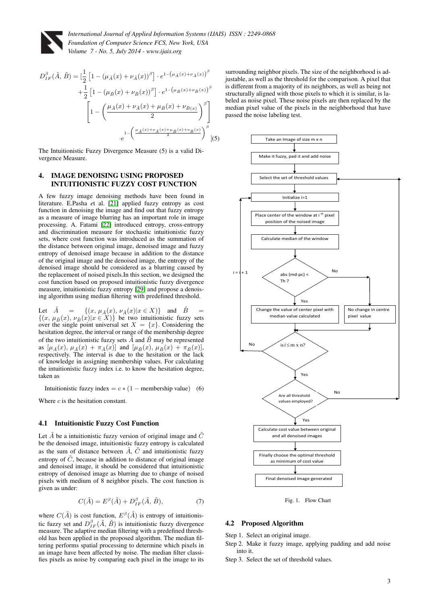

$$
D_{IF}^{\beta}(\tilde{A}, \tilde{B}) = \left[\frac{1}{2}\left[1 - (\mu_{\tilde{A}}(x) + \nu_{\tilde{A}}(x))^{\beta}\right] \cdot e^{1 - (\mu_{\tilde{A}}(x) + \nu_{\tilde{A}}(x))^{\beta}} + \frac{1}{2}\left[1 - (\mu_{\tilde{B}}(x) + \nu_{\tilde{B}}(x))^{\beta}\right] \cdot e^{1 - (\mu_{\tilde{B}}(x) + \nu_{\tilde{B}}(x))^{\beta}} + \left[1 - \left(\frac{\mu_{\tilde{A}}(x) + \nu_{\tilde{A}}(x) + \mu_{\tilde{B}}(x) + \nu_{\tilde{B}}(x)}{2}\right)^{\beta}\right] + \frac{1}{e} \left[\frac{\mu_{\tilde{A}}(x) + \nu_{\tilde{A}}(x) + \mu_{\tilde{B}}(x) + \nu_{\tilde{B}}(x)}{2}\right)^{\beta}\right] (5)
$$

The Intuitionistic Fuzzy Divergence Measure (5) is a valid Divergence Measure.

# 4. IMAGE DENOISING USING PROPOSED INTUITIONISTIC FUZZY COST FUNCTION

A few fuzzy image denoising methods have been found in literature. E.Pasha *e*t al. [\[21\]](#page-4-23) applied fuzzy entropy as cost function in denoising the image and find out that fuzzy entropy as a measure of image blurring has an important role in image processing. A. Fatami [\[22\]](#page-4-24) introduced entropy, cross-entropy and discrimination measure for stochastic intuitionistic fuzzy sets, where cost function was introduced as the summation of the distance between original image, denoised image and fuzzy entropy of denoised image because in addition to the distance of the original image and the denoised image, the entropy of the denoised image should be considered as a blurring caused by the replacement of noised pixels.In this section, we designed the cost function based on proposed intuitionistic fuzzy divergence measure, intuitionistic fuzzy entropy [\[29\]](#page-4-22) and propose a denoising algorithm using median filtering with predefined threshold.

Let  $\tilde{A}$  = { $(x, \mu_{\tilde{A}}(x), \nu_{\tilde{A}}(x)|x \in X)$ } and  $\tilde{B}$  =  $\{(x, \mu_{\tilde{B}}(x), \nu_{\tilde{B}}(x)|x \in X)\}\)$  be two intuitionistic fuzzy sets over the single point universal set  $X = \{x\}$ . Considering the hesitation degree, the interval or range of the membership degree of the two intuitionistic fuzzy sets  $\tilde{A}$  and  $\tilde{B}$  may be represented as  $[\mu_{\tilde{A}}(x), \mu_{\tilde{A}}(x) + \pi_{\tilde{A}}(x)]$  and  $[\mu_{\tilde{B}}(x), \mu_{\tilde{B}}(x) + \pi_{\tilde{B}}(x)],$ respectively. The interval is due to the hesitation or the lack of knowledge in assigning membership values. For calculating the intuitionistic fuzzy index i.e. to know the hesitation degree, taken as

Intuitionistic fuzzy index =  $c * (1 - \text{membership value})$  (6)

Where c is the hesitation constant.

### 4.1 Intuitionistic Fuzzy Cost Function

Let  $\tilde{A}$  be a intuitionistic fuzzy version of original image and  $\tilde{C}$ be the denoised image, intuitionistic fuzzy entropy is calculated as the sum of distance between  $\tilde{A}$ ,  $\tilde{C}$  and intuitionistic fuzzy entropy of  $\tilde{C}$ , because in addition to distance of original image and denoised image, it should be considered that intuitionistic entropy of denoised image as blurring due to change of noised pixels with medium of 8 neighbor pixels. The cost function is given as under:

$$
C(\tilde{A}) = E^{\beta}(\tilde{A}) + D_{IF}^{\beta}(\tilde{A}, \tilde{B}), \tag{7}
$$

where  $C(\tilde{A})$  is cost function,  $E^{\beta}(\tilde{A})$  is entropy of intuitionistic fuzzy set and  $D_{IF}^{\beta}(\tilde{A}, \tilde{B})$  is intuitionistic fuzzy divergence measure. The adaptive median filtering with a predefined threshold has been applied in the proposed algorithm. The median filtering performs spatial processing to determine which pixels in an image have been affected by noise. The median filter classifies pixels as noise by comparing each pixel in the image to its

surrounding neighbor pixels. The size of the neighborhood is adjustable, as well as the threshold for the comparison. A pixel that is different from a majority of its neighbors, as well as being not structurally aligned with those pixels to which it is similar, is labeled as noise pixel. These noise pixels are then replaced by the median pixel value of the pixels in the neighborhood that have passed the noise labeling test.



Fig. 1. Flow Chart

### 4.2 Proposed Algorithm

Step 1. Select an original image.

Step 2. Make it fuzzy image, applying padding and add noise into it.

Step 3. Select the set of threshold values.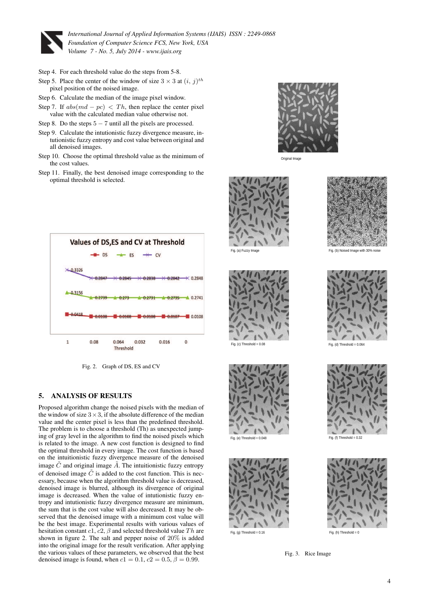

- Step 4. For each threshold value do the steps from 5-8.
- Step 5. Place the center of the window of size  $3 \times 3$  at  $(i, j)$ <sup>th</sup> pixel position of the noised image.
- Step 6. Calculate the median of the image pixel window.
- Step 7. If  $abs(md pc) < Th$ , then replace the center pixel value with the calculated median value otherwise not.
- Step 8. Do the steps  $5 7$  until all the pixels are processed.
- Step 9. Calculate the intutionistic fuzzy divergence measure, intutionistic fuzzy entropy and cost value between original and all denoised images.
- Step 10. Choose the optimal threshold value as the minimum of the cost values.
- Step 11. Finally, the best denoised image corresponding to the optimal threshold is selected.



Fig. 2. Graph of DS, ES and CV

# 5. ANALYSIS OF RESULTS

Proposed algorithm change the noised pixels with the median of the window of size  $3 \times 3$ , if the absolute difference of the median value and the center pixel is less than the predefined threshold. The problem is to choose a threshold (Th) as unexpected jumping of gray level in the algorithm to find the noised pixels which is related to the image. A new cost function is designed to find the optimal threshold in every image. The cost function is based on the intuitionistic fuzzy divergence measure of the denoised image  $\tilde{C}$  and original image  $\tilde{A}$ . The intuitionistic fuzzy entropy of denoised image  $\tilde{C}$  is added to the cost function. This is necessary, because when the algorithm threshold value is decreased, denoised image is blurred, although its divergence of original image is decreased. When the value of intutionistic fuzzy entropy and intutionistic fuzzy divergence measure are minimum, the sum that is the cost value will also decreased. It may be observed that the denoised image with a minimum cost value will be the best image. Experimental results with various values of hesitation constant  $c1$ ,  $c2$ ,  $\beta$  and selected threshold value Th are shown in figure 2. The salt and pepper noise of 20% is added into the original image for the result verification. After applying the various values of these parameters, we observed that the best denoised image is found, when  $c1 = 0.1$ ,  $c2 = 0.5$ ,  $\beta = 0.99$ .



Original Image







Fig. (e) Threshold =  $0.048$  Fig. (f) Threshold =  $0.32$ 



Fig. 3. Rice Image



Fig. (a) Fuzzy Image Fig. (b) Noised Image with 30% noise